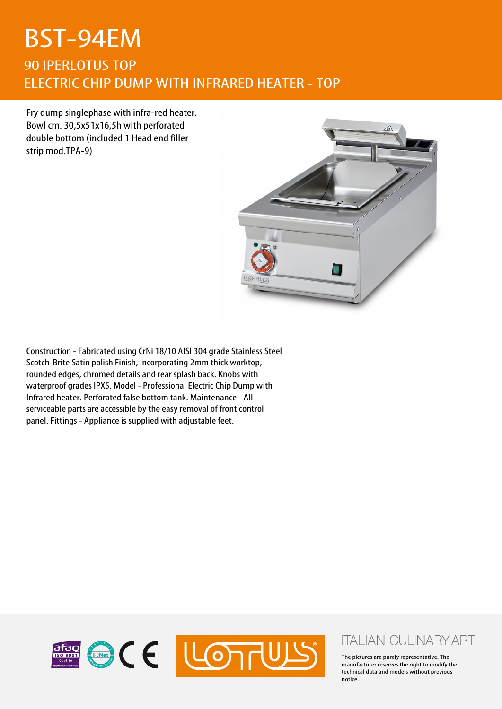## BST-94EM 90 IPERLOTUS TOP ELECTRIC CHIP DUMP WITH INFRARED HEATER - TOP

Fry dump singlephase with infra-red heater. Bowl cm. 30,5x51x16,5h with perforated double bottom (included 1 Head end filler strip mod.TPA-9)



Construction - Fabricated using CrNi 18/10 AISI 304 grade Stainless Steel Scotch-Brite Satin polish Finish, incorporating 2mm thick worktop, rounded edges, chromed details and rear splash back. Knobs with waterproof grades IPX5. Model - Professional Electric Chip Dump with Infrared heater. Perforated false bottom tank. Maintenance - All serviceable parts are accessible by the easy removal of front control panel. Fittings - Appliance is supplied with adjustable feet.



## **ITALIAN CULINARY ART**

The pictures are purely representative. The manufacturer reserves the right to modify the technical data and models without previous notice.